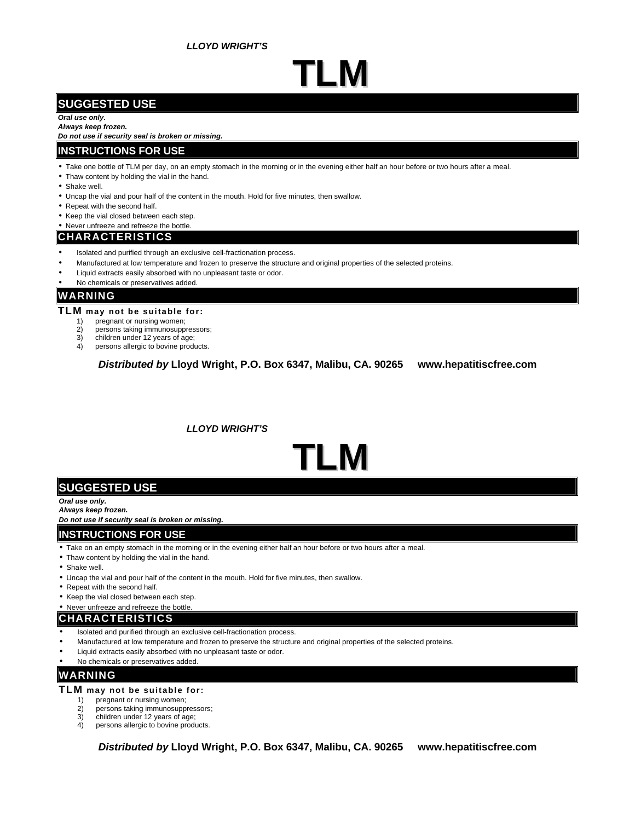*LLOYD WRIGHT'S*

## **TLM**

## **SUGGESTED USE**

### *Oral use only.*

*Always keep frozen.*

*Do not use if security seal is broken or missing.*

#### **INSTRUCTIONS FOR USE**

- Take one bottle of TLM per day, on an empty stomach in the morning or in the evening either half an hour before or two hours after a meal.
- Thaw content by holding the vial in the hand.
- Shake well.
- Uncap the vial and pour half of the content in the mouth. Hold for five minutes, then swallow.
- Repeat with the second half.
- Keep the vial closed between each step.
- Never unfreeze and refreeze the bottle.

### **CHARACTERISTICS**

- Isolated and purified through an exclusive cell-fractionation process.
- Manufactured at low temperature and frozen to preserve the structure and original properties of the selected proteins.
- Liquid extracts easily absorbed with no unpleasant taste or odor.
- No chemicals or preservatives added

## **WARNING**

- **TLM may not be suitable for:**
	- 1) pregnant or nursing women;<br>2) persons taking immunosuppi
	- persons taking immunosuppressors;
	- 3) children under 12 years of age;
	- 4) persons allergic to bovine products.

*Distributed by* **Lloyd Wright, P.O. Box 6347, Malibu, CA. 90265 www.hepatitiscfree.com**

 *LLOYD WRIGHT'S*

# **TLM**

## **SUGGESTED USE**

*Oral use only.*

*Always keep frozen.*

*Do not use if security seal is broken or missing.*

### **INSTRUCTIONS FOR USE**

- Take on an empty stomach in the morning or in the evening either half an hour before or two hours after a meal.
- Thaw content by holding the vial in the hand.
- Shake well.
- Uncap the vial and pour half of the content in the mouth. Hold for five minutes, then swallow.
- Repeat with the second half.
- Keep the vial closed between each step.
- Never unfreeze and refreeze the bottle

## **CHARACTERISTICS**

- Isolated and purified through an exclusive cell-fractionation process.
- Manufactured at low temperature and frozen to preserve the structure and original properties of the selected proteins.
- Liquid extracts easily absorbed with no unpleasant taste or odor.
- No chemicals or preservatives added.

## **WARNING**

### **TLM may not be suitable for:**

- 1) pregnant or nursing women;
- 2) persons taking immunosuppressors;<br>3) children under 12 years of age;
- 3) children under 12 years of age;<br>4) persons allergic to bovine produ
- persons allergic to bovine products.

*Distributed by* **Lloyd Wright, P.O. Box 6347, Malibu, CA. 90265 www.hepatitiscfree.com**